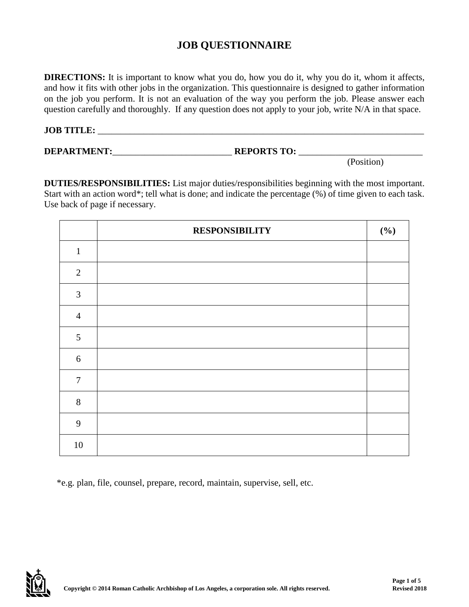## **JOB QUESTIONNAIRE**

**DIRECTIONS:** It is important to know what you do, how you do it, why you do it, whom it affects, and how it fits with other jobs in the organization. This questionnaire is designed to gather information on the job you perform. It is not an evaluation of the way you perform the job. Please answer each question carefully and thoroughly. If any question does not apply to your job, write N/A in that space.

## **JOB TITLE:** \_\_\_\_\_\_\_\_\_\_\_\_\_\_\_\_\_\_\_\_\_\_\_\_\_\_\_\_\_\_\_\_\_\_\_\_\_\_\_\_\_\_\_\_\_\_\_\_\_\_\_\_\_\_\_\_\_\_\_\_\_\_\_\_\_\_\_\_\_\_\_

## **DEPARTMENT:**\_\_\_\_\_\_\_\_\_\_\_\_\_\_\_\_\_\_\_\_\_\_\_\_\_\_ **REPORTS TO:** \_\_\_\_\_\_\_\_\_\_\_\_\_\_\_\_\_\_\_\_\_\_\_\_\_\_\_

(Position)

**DUTIES/RESPONSIBILITIES:** List major duties/responsibilities beginning with the most important. Start with an action word\*; tell what is done; and indicate the percentage (%) of time given to each task. Use back of page if necessary.

|                | <b>RESPONSIBILITY</b> | (%) |
|----------------|-----------------------|-----|
| $\mathbf{1}$   |                       |     |
| $\overline{2}$ |                       |     |
| $\mathfrak{Z}$ |                       |     |
| $\overline{4}$ |                       |     |
| 5              |                       |     |
| 6              |                       |     |
| $\overline{7}$ |                       |     |
| $8\,$          |                       |     |
| 9              |                       |     |
| $10\,$         |                       |     |

\*e.g. plan, file, counsel, prepare, record, maintain, supervise, sell, etc.

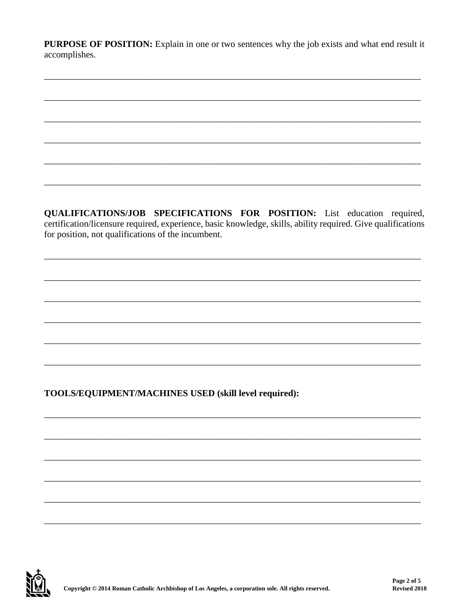PURPOSE OF POSITION: Explain in one or two sentences why the job exists and what end result it accomplishes.

QUALIFICATIONS/JOB SPECIFICATIONS FOR POSITION: List education required, certification/licensure required, experience, basic knowledge, skills, ability required. Give qualifications for position, not qualifications of the incumbent.

TOOLS/EQUIPMENT/MACHINES USED (skill level required):

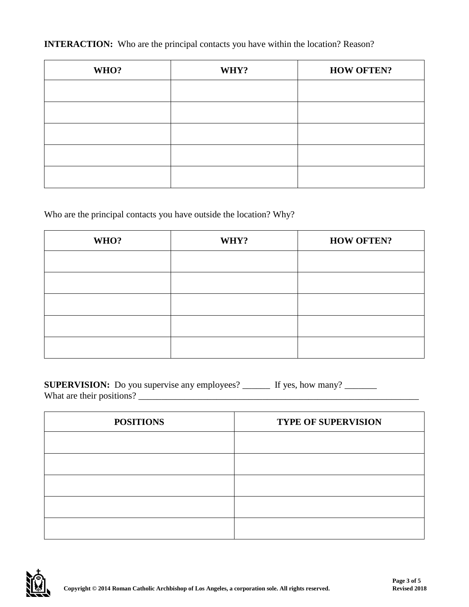**INTERACTION:** Who are the principal contacts you have within the location? Reason?

| WHO? | WHY? | <b>HOW OFTEN?</b> |
|------|------|-------------------|
|      |      |                   |
|      |      |                   |
|      |      |                   |
|      |      |                   |
|      |      |                   |

Who are the principal contacts you have outside the location? Why?

| WHO? | WHY? | <b>HOW OFTEN?</b> |
|------|------|-------------------|
|      |      |                   |
|      |      |                   |
|      |      |                   |
|      |      |                   |
|      |      |                   |

**SUPERVISION:** Do you supervise any employees? \_\_\_\_\_\_ If yes, how many? \_\_\_\_\_\_\_ What are their positions? \_\_\_\_\_\_\_\_\_\_\_\_\_\_\_\_\_\_\_\_\_\_\_\_\_\_\_\_\_\_\_\_\_\_\_\_\_\_\_\_\_\_\_\_\_\_\_\_\_\_\_\_\_\_\_\_\_\_\_\_\_

| <b>POSITIONS</b> | <b>TYPE OF SUPERVISION</b> |  |  |
|------------------|----------------------------|--|--|
|                  |                            |  |  |
|                  |                            |  |  |
|                  |                            |  |  |
|                  |                            |  |  |
|                  |                            |  |  |

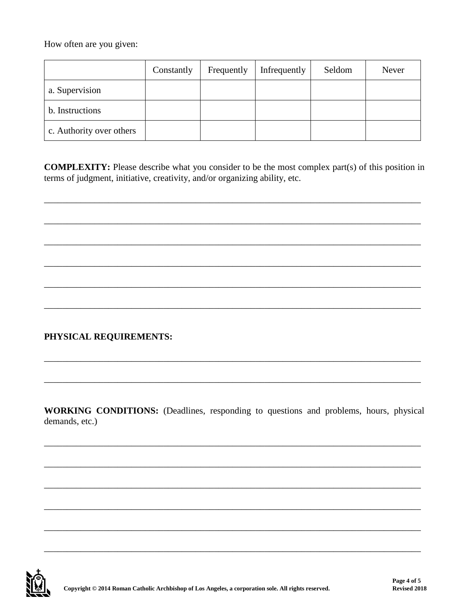How often are you given:

|                          | Constantly | Frequently | Infrequently | Seldom | Never |
|--------------------------|------------|------------|--------------|--------|-------|
| a. Supervision           |            |            |              |        |       |
| b. Instructions          |            |            |              |        |       |
| c. Authority over others |            |            |              |        |       |

**COMPLEXITY:** Please describe what you consider to be the most complex part(s) of this position in terms of judgment, initiative, creativity, and/or organizing ability, etc.

## PHYSICAL REQUIREMENTS:

WORKING CONDITIONS: (Deadlines, responding to questions and problems, hours, physical demands, etc.)